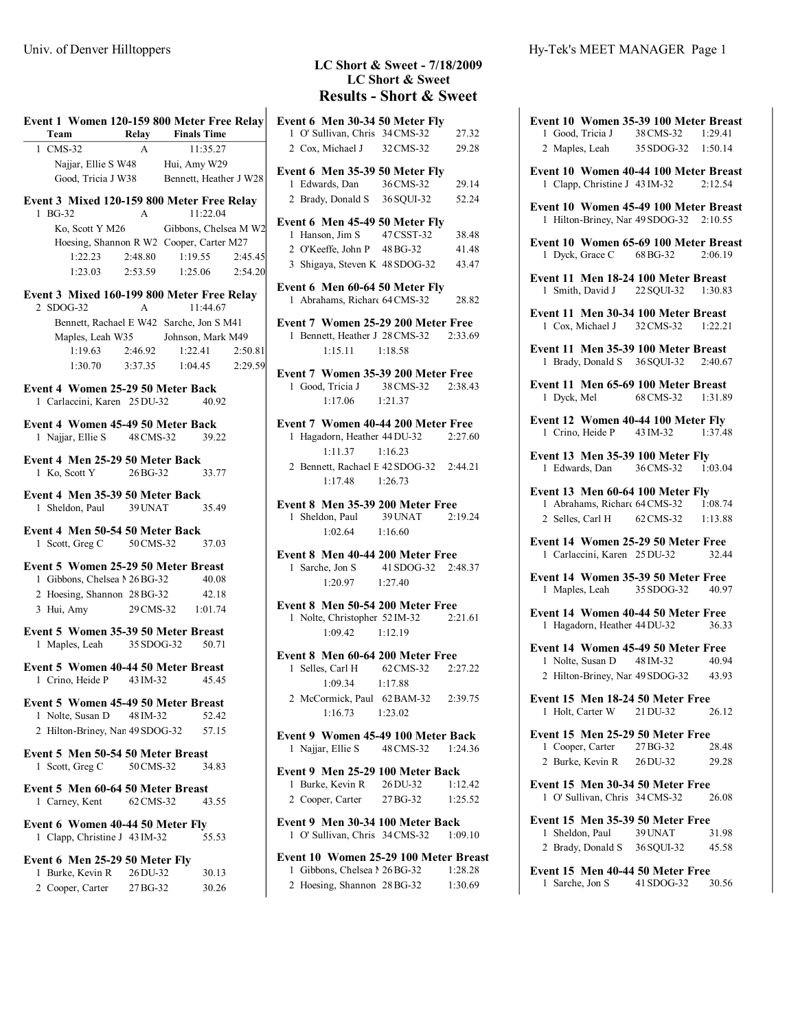| Event 1 Women 120-159 800 Meter Free Relay<br>Team                              |              | Relay Finals Time             |         |
|---------------------------------------------------------------------------------|--------------|-------------------------------|---------|
| 1 CMS-32                                                                        | $\mathsf{A}$ | 11:35.27                      |         |
| Najjar, Ellie S W48                                                             |              | Hui, Amy W29                  |         |
| Good, Tricia J W38 Bennett, Heather J W28                                       |              |                               |         |
| Event 3 Mixed 120-159 800 Meter Free Relay<br>1 BG-32                           | $\mathsf{A}$ | 11:22.04                      |         |
| Ko, Scott Y M26                                                                 |              | Gibbons, Chelsea M W2         |         |
| Hoesing, Shannon R W2 Cooper, Carter M27                                        |              |                               |         |
| 1:22.23                                                                         | 2:48.80      | 1:19.55                       | 2:45.45 |
| 1:23.03 2:53.59                                                                 |              | $1:25.06$ $2:54.20$           |         |
| Event 3 Mixed 160-199 800 Meter Free Relay<br>2 SDOG-32                         | A            | 11:44.67                      |         |
| Bennett, Rachael E W42 Sarche, Jon S M41                                        |              |                               |         |
| Maples, Leah W35 Johnson, Mark M49<br>1:19.63 2:46.92 1:22.41 2:50              |              |                               |         |
|                                                                                 |              |                               | 2:50.81 |
|                                                                                 |              | $1:30.70$ $3:37.35$ $1:04.45$ | 2:29.59 |
| Event 4 Women 25-29 50 Meter Back<br>1 Carlaccini, Karen 25 DU-32               |              | 40.92                         |         |
| Event 4 Women 45-49 50 Meter Back<br>1 Najjar, Ellie S 48 CMS-32 39.22          |              |                               |         |
| Event 4 Men 25-29 50 Meter Back<br>1 Ko, Scott Y 26 BG-32                       |              | 33.77                         |         |
| Event 4 Men 35-39 50 Meter Back<br>1 Sheldon, Paul 39 UNAT                      |              | 35.49                         |         |
| Event 4 Men 50-54 50 Meter Back<br>1 Scott, Greg C 50 CMS-32                    |              | 37.03                         |         |
| Event 5 Women 25-29 50 Meter Breast                                             |              |                               |         |
| 1 Gibbons, Chelsea M 26 BG-32                                                   |              | 40.08                         |         |
| 2 Hoesing, Shannon 28 BG-32                                                     |              | 42.18                         |         |
| 3 Hui, Amy                                                                      |              | 29 CMS-32 1:01.74             |         |
| Event 5 Women 35-39 50 Meter Breast<br>1 Maples, Leah 35 SDOG-32                |              | 50.71                         |         |
| Event 5 Women 40-44 50 Meter Breast                                             |              |                               |         |
| 1 Crino, Heide P                                                                | 43 IM-32     | 45.45                         |         |
| Event 5 Women 45-49 50 Meter Breast                                             |              |                               |         |
| 1 Nolte, Susan D 48 IM-32                                                       |              | 52.42                         |         |
| 2 Hilton-Briney, Nan 49 SDOG-32 57.15                                           |              |                               |         |
| Event 5 Men 50-54 50 Meter Breast<br>Scott, Greg C<br>1                         | 50 CMS-32    | 34.83                         |         |
| Event 5 Men 60-64 50 Meter Breast<br>1 Carney, Kent                             | 62 CMS-32    | 43.55                         |         |
| Event 6 Women 40-44 50 Meter Fly<br>1 Clapp, Christine J 43 IM-32               |              | 55.53                         |         |
| Event 6 Men 25-29 50 Meter Fly<br>1 Burke, Kevin R 26 DU-32<br>2 Cooper, Carter | 27BG-32      | 30.13<br>30.26                |         |
|                                                                                 |              |                               |         |

## **LC Short & Sweet - 7/18/2009 LC Short & Sweet Results - Short & Sweet**

| Event 6 Men 30-34 50 Meter Fly                                                                  |                     |                    |
|-------------------------------------------------------------------------------------------------|---------------------|--------------------|
| 1 O' Sullivan, Chris 34 CMS-32<br>2 Cox, Michael J 32 CMS-32                                    |                     | 27.32<br>29.28     |
|                                                                                                 |                     |                    |
| Event 6 Men 35-39 50 Meter Fly<br>1 Edwards, Dan                                                | 36 CMS-32           | 29.14              |
| 2 Brady, Donald S 36 SQUI-32                                                                    |                     | 52.24              |
| Event 6 Men 45-49 50 Meter Fly                                                                  |                     |                    |
| 1 Hanson, Jim S 47 CSST-32                                                                      |                     | 38.48              |
| 2 O'Keeffe, John P 48 BG-32                                                                     |                     | 41.48              |
| 3 Shigaya, Steven K 48 SDOG-32                                                                  |                     | 43.47              |
| Event 6 Men 60-64 50 Meter Fly<br>1 Abrahams, Richard 64 CMS-32                                 |                     | 28.82              |
| Event 7 Women 25-29 200 Meter Free<br>1 Bennett, Heather J 28 CMS-32 2:33.69<br>1:15.11 1:18.58 |                     |                    |
| Event 7 Women 35-39 200 Meter Free                                                              |                     |                    |
| 1 Good, Tricia J 38 CMS-32 2:38.43                                                              |                     |                    |
| $1:17.06$ $1:21.37$                                                                             |                     |                    |
| Event 7 Women 40-44 200 Meter Free                                                              |                     |                    |
| 1 Hagadorn, Heather 44 DU-32 2:27.60                                                            |                     |                    |
| 1:11.37<br>2 Bennett, Rachael E 42 SDOG-32 2:44.21                                              | 1:16.23             |                    |
| 1:17.48 1:26.73                                                                                 |                     |                    |
| Event 8 Men 35-39 200 Meter Free                                                                |                     |                    |
| 1 Sheldon, Paul 39 UNAT 2:19.24                                                                 |                     |                    |
| $1:02.64$ $1:16.60$                                                                             |                     |                    |
| Event 8 Men 40-44 200 Meter Free                                                                |                     |                    |
| 1 Sarche, Jon S 41 SDOG-32 2:48.37<br>$1:20.97$ $1:27.40$                                       |                     |                    |
|                                                                                                 |                     |                    |
| Event 8 Men 50-54 200 Meter Free<br>1 Nolte, Christopher 52 IM-32                               |                     | 2:21.61            |
| 1:09.42 1:12.19                                                                                 |                     |                    |
| Event 8 Men 60-64 200 Meter Free                                                                |                     |                    |
| 1 Selles, Carl H 62 CMS-32 2:27.22<br>1:09.34 1:17.88                                           |                     |                    |
|                                                                                                 |                     |                    |
| 2 McCormick, Paul 62 BAM-32 2:39.75                                                             |                     |                    |
| 1:16.73                                                                                         | 1:23.02             |                    |
| Event 9 Women 45-49 100 Meter Back<br>1 Najjar, Ellie S                                         | 48 CMS-32           | 1:24.36            |
| Event 9 Men 25-29 100 Meter Back                                                                |                     |                    |
| 1 Burke, Kevin R<br>2 Cooper, Carter                                                            | 26 DU-32<br>27BG-32 | 1:12.42<br>1:25.52 |
|                                                                                                 |                     |                    |
| Event 9 Men 30-34 100 Meter Back<br>1 O' Sullivan, Chris 34 CMS-32                              |                     | 1:09.10            |
| Event 10 Women 25-29 100 Meter Breast<br>1 Gibbons, Chelsea 1 26 BG-32 1:28.28                  |                     |                    |

2 Hoesing, Shannon 28 BG-32 1:30.69

| Event 10 Women 35-39 100 Meter Breast<br>1 Good, Tricia J 38 CMS-32 1:29.41                                     |
|-----------------------------------------------------------------------------------------------------------------|
| 2 Maples, Leah 35 SDOG-32 1:50.14                                                                               |
| Event 10 Women 40-44 100 Meter Breast<br>1 Clapp, Christine J 43 IM-32 2:12.54                                  |
| Event 10 Women 45-49 100 Meter Breast<br>1 Hilton-Briney, Nan 49 SDOG-32 2:10.55                                |
| Event 10 Women 65-69 100 Meter Breast<br>1 Dyck, Grace C 68 BG-32<br>2:06.19                                    |
| Event 11 Men 18-24 100 Meter Breast<br>1 Smith, David J 22 SQUI-32 1:30.83                                      |
| Event 11 Men 30-34 100 Meter Breast<br>1 Cox, Michael J 32 CMS-32 1:22.21                                       |
| Event 11 Men 35-39 100 Meter Breast<br>1 Brady, Donald S 36 SQUI-32 2:40.67                                     |
| Event 11 Men 65-69 100 Meter Breast<br>1 Dyck, Mel 68 CMS-32 1:31.89                                            |
| Event 12 Women 40-44 100 Meter Fly<br>1 Crino, Heide P 43 IM-32<br>1:37.48                                      |
| Event 13 Men 35-39 100 Meter Fly<br>1 Edwards, Dan 36 CMS-32 1:03.04                                            |
| Event 13 Men 60-64 100 Meter Fly<br>1 Abrahams, Richard 64 CMS-32 1:08.74<br>2 Selles, Carl H 62 CMS-32 1:13.88 |
| Event 14 Women 25-29 50 Meter Free<br>1 Carlaccini, Karen 25 DU-32<br>32.44                                     |
| Event 14 Women 35-39 50 Meter Free<br>1 Maples, Leah 35 SDOG-32 40.97                                           |
| Event 14 Women 40-44 50 Meter Free<br>1 Hagadorn, Heather 44 DU-32<br>36.33                                     |
| Event 14 Women 45-49 50 Meter Free                                                                              |
| 1 Nolte, Susan D 48 IM-32<br>40.94                                                                              |
| 2 Hilton-Briney, Nan 49 SDOG-32<br>43.93                                                                        |
|                                                                                                                 |
| Event 15 Men 18-24 50 Meter Free<br>1 Holt, Carter W 21 DU-32<br>26.12                                          |
| Event 15 Men 25-29 50 Meter Free                                                                                |
| 1 Cooper, Carter<br>27 BG-32<br>28.48<br>2 Burke, Kevin R $26$ DU-32                                            |
| 29.28                                                                                                           |
| Event 15 Men 30-34 50 Meter Free<br>1 O' Sullivan, Chris 34 CMS-32<br>26.08                                     |
| Event 15 Men 35-39 50 Meter Free                                                                                |
| 1 Sheldon, Paul 39 UNAT<br>31.98                                                                                |
| 2 Brady, Donald S 36 SQUI-32<br>45.58                                                                           |
| Event 15 Men 40-44 50 Meter Free<br>1 Sarche, Jon S 41 SDOG-32 30.56                                            |